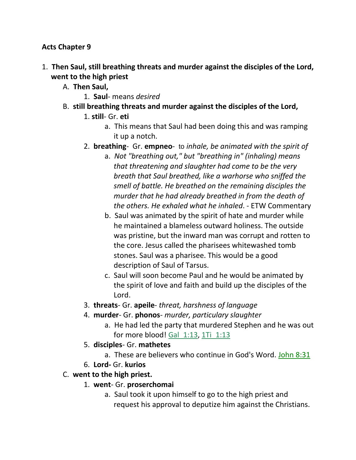#### **Acts Chapter 9**

- 1. **Then Saul, still breathing threats and murder against the disciples of the Lord, went to the high priest** 
	- A. **Then Saul,**
		- 1. **Saul** means *desired*
	- B. **still breathing threats and murder against the disciples of the Lord,**
		- 1. **still** Gr. **eti**
			- a. This means that Saul had been doing this and was ramping it up a notch.
		- 2. **breathing** Gr. **empneo** to *inhale, be animated with the spirit of*
			- a. *Not "breathing out," but "breathing in" (inhaling) means that threatening and slaughter had come to be the very breath that Saul breathed, like a warhorse who sniffed the smell of battle. He breathed on the remaining disciples the murder that he had already breathed in from the death of the others. He exhaled what he inhaled*. - ETW Commentary
			- b. Saul was animated by the spirit of hate and murder while he maintained a blameless outward holiness. The outside was pristine, but the inward man was corrupt and rotten to the core. Jesus called the pharisees whitewashed tomb stones. Saul was a pharisee. This would be a good description of Saul of Tarsus.
			- c. Saul will soon become Paul and he would be animated by the spirit of love and faith and build up the disciples of the Lord.
		- 3. **threats** Gr. **apeile** *threat, harshness of language*
		- 4. **murder** Gr. **phonos** *murder, particulary slaughter*
			- a. He had led the party that murdered Stephen and he was out for more blood! Gal 1:13, 1Ti 1:13
		- 5. **disciples** Gr. **mathetes**
			- a. These are believers who continue in God's Word. John 8:31
		- 6. **Lord-** Gr. **kurios**
	- C. **went to the high priest.**
		- 1. **went** Gr. **proserchomai**
			- a. Saul took it upon himself to go to the high priest and request his approval to deputize him against the Christians.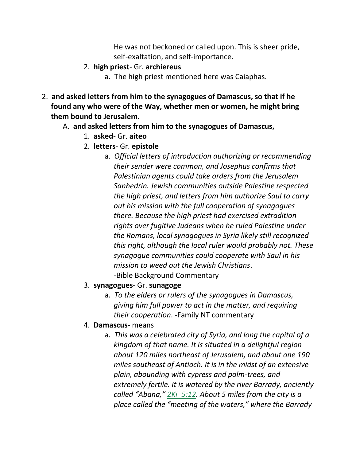He was not beckoned or called upon. This is sheer pride, self-exaltation, and self-importance.

- 2. **high priest** Gr. **archiereus**
	- a. The high priest mentioned here was Caiaphas.
- 2. **and asked letters from him to the synagogues of Damascus, so that if he found any who were of the Way, whether men or women, he might bring them bound to Jerusalem.** 
	- A. **and asked letters from him to the synagogues of Damascus,**
		- 1. **asked** Gr. **aiteo**
		- 2. **letters** Gr. **epistole**
			- a. *Official letters of introduction authorizing or recommending their sender were common, and Josephus confirms that Palestinian agents could take orders from the Jerusalem Sanhedrin. Jewish communities outside Palestine respected the high priest, and letters from him authorize Saul to carry out his mission with the full cooperation of synagogues there. Because the high priest had exercised extradition rights over fugitive Judeans when he ruled Palestine under the Romans, local synagogues in Syria likely still recognized this right, although the local ruler would probably not. These synagogue communities could cooperate with Saul in his mission to weed out the Jewish Christians*. -Bible Background Commentary
		- 3. **synagogues** Gr. **sunagoge**
			- a. *To the elders or rulers of the synagogues in Damascus, giving him full power to act in the matter, and requiring their cooperation*. -Family NT commentary
		- 4. **Damascus** means
			- a. *This was a celebrated city of Syria, and long the capital of a kingdom of that name. It is situated in a delightful region about 120 miles northeast of Jerusalem, and about one 190 miles southeast of Antioch. It is in the midst of an extensive plain, abounding with cypress and palm-trees, and extremely fertile. It is watered by the river Barrady, anciently called "Abana," 2Ki\_5:12. About 5 miles from the city is a place called the "meeting of the waters," where the Barrady*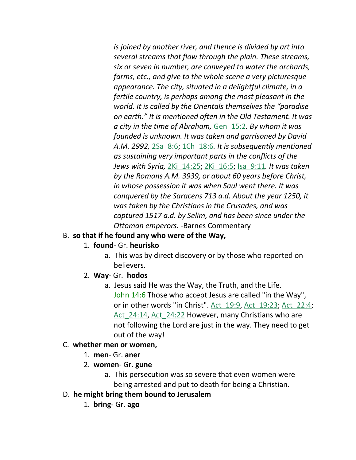*is joined by another river, and thence is divided by art into several streams that flow through the plain. These streams, six or seven in number, are conveyed to water the orchards, farms, etc., and give to the whole scene a very picturesque appearance. The city, situated in a delightful climate, in a fertile country, is perhaps among the most pleasant in the world. It is called by the Orientals themselves the "paradise on earth." It is mentioned often in the Old Testament. It was a city in the time of Abraham,* Gen\_15:2*. By whom it was founded is unknown. It was taken and garrisoned by David A.M. 2992,* 2Sa\_8:6; 1Ch\_18:6*. It is subsequently mentioned as sustaining very important parts in the conflicts of the Jews with Syria,* 2Ki\_14:25; 2Ki\_16:5; Isa\_9:11*. It was taken by the Romans A.M. 3939, or about 60 years before Christ, in whose possession it was when Saul went there. It was conquered by the Saracens 713 a.d. About the year 1250, it was taken by the Christians in the Crusades, and was captured 1517 a.d. by Selim, and has been since under the Ottoman emperors.* -Barnes Commentary

## B. **so that if he found any who were of the Way,**

#### 1. **found**- Gr. **heurisko**

- a. This was by direct discovery or by those who reported on believers.
- 2. **Way** Gr. **hodos**
	- a. Jesus said He was the Way, the Truth, and the Life. John 14:6 Those who accept Jesus are called "in the Way", or in other words "in Christ". Act\_19:9, Act\_19:23; Act\_22:4; Act 24:14, Act 24:22 However, many Christians who are not following the Lord are just in the way. They need to get out of the way!

#### C. **whether men or women,**

- 1. **men** Gr. **aner**
- 2. **women** Gr. **gune**
	- a. This persecution was so severe that even women were being arrested and put to death for being a Christian.
- D. **he might bring them bound to Jerusalem**
	- 1. **bring** Gr. **ago**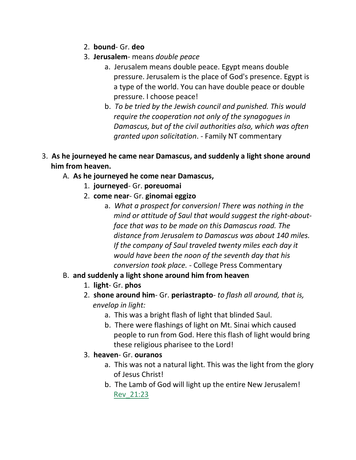- 2. **bound** Gr. **deo**
- 3. **Jerusalem** means *double peace*
	- a. Jerusalem means double peace. Egypt means double pressure. Jerusalem is the place of God's presence. Egypt is a type of the world. You can have double peace or double pressure. I choose peace!
	- b. *To be tried by the Jewish council and punished. This would require the cooperation not only of the synagogues in Damascus, but of the civil authorities also, which was often granted upon solicitation*. - Family NT commentary
- 3. **As he journeyed he came near Damascus, and suddenly a light shone around him from heaven.** 
	- A. **As he journeyed he come near Damascus,**
		- 1. **journeyed** Gr. **poreuomai**
		- 2. **come near** Gr. **ginomai eggizo**
			- a. *What a prospect for conversion! There was nothing in the mind or attitude of Saul that would suggest the right-about face that was to be made on this Damascus road. The distance from Jerusalem to Damascus was about 140 miles. If the company of Saul traveled twenty miles each day it would have been the noon of the seventh day that his conversion took place.* - College Press Commentary
	- B. **and suddenly a light shone around him from heaven**
		- 1. **light** Gr. **phos**
		- 2. **shone around him** Gr. **periastrapto** *to flash all around, that is, envelop in light:*
			- a. This was a bright flash of light that blinded Saul.
			- b. There were flashings of light on Mt. Sinai which caused people to run from God. Here this flash of light would bring these religious pharisee to the Lord!
		- 3. **heaven** Gr. **ouranos**
			- a. This was not a natural light. This was the light from the glory of Jesus Christ!
			- b. The Lamb of God will light up the entire New Jerusalem! Rev\_21:23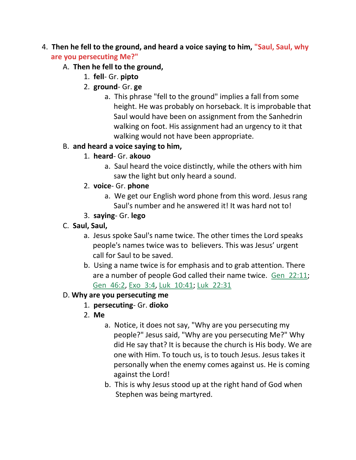# 4. **Then he fell to the ground, and heard a voice saying to him, "Saul, Saul, why are you persecuting Me?"**

- A. **Then he fell to the ground,**
	- 1. **fell** Gr. **pipto**
	- 2. **ground** Gr. **ge**
		- a. This phrase "fell to the ground" implies a fall from some height. He was probably on horseback. It is improbable that Saul would have been on assignment from the Sanhedrin walking on foot. His assignment had an urgency to it that walking would not have been appropriate.

#### B. **and heard a voice saying to him,**

- 1. **heard** Gr. **akouo**
	- a. Saul heard the voice distinctly, while the others with him saw the light but only heard a sound.
- 2. **voice** Gr. **phone**
	- a. We get our English word phone from this word. Jesus rang Saul's number and he answered it! It was hard not to!
- 3. **saying** Gr. **lego**
- C. **Saul, Saul,**
	- a. Jesus spoke Saul's name twice. The other times the Lord speaks people's names twice was to believers. This was Jesus' urgent call for Saul to be saved.
	- b. Using a name twice is for emphasis and to grab attention. There are a number of people God called their name twice. Gen\_22:11; Gen\_46:2, Exo\_3:4, Luk\_10:41; Luk\_22:31

## D. **Why are you persecuting me**

- 1. **persecuting** Gr. **dioko**
- 2. **Me**
	- a. Notice, it does not say, "Why are you persecuting my people?" Jesus said, "Why are you persecuting Me?" Why did He say that? It is because the church is His body. We are one with Him. To touch us, is to touch Jesus. Jesus takes it personally when the enemy comes against us. He is coming against the Lord!
	- b. This is why Jesus stood up at the right hand of God when Stephen was being martyred.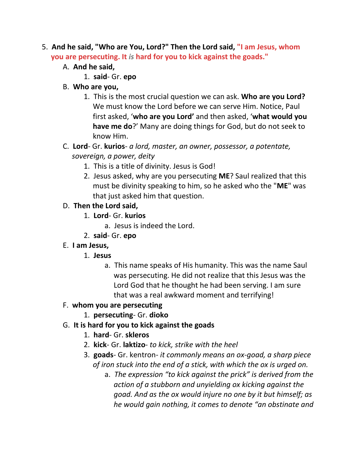- 5. **And he said, "Who are You, Lord?" Then the Lord said, "I am Jesus, whom you are persecuting. It** *is* **hard for you to kick against the goads."**
	- A. **And he said,**
		- 1. **said** Gr. **epo**
	- B. **Who are you,**
		- 1. This is the most crucial question we can ask. **Who are you Lord?** We must know the Lord before we can serve Him. Notice, Paul first asked, '**who are you Lord'** and then asked, '**what would you have me do**?' Many are doing things for God, but do not seek to know Him.
	- C. **Lord** Gr. **kurios** *a lord, master, an owner, possessor, a potentate, sovereign, a power, deity*
		- 1. This is a title of divinity. Jesus is God!
		- 2. Jesus asked, why are you persecuting **ME**? Saul realized that this must be divinity speaking to him, so he asked who the "**ME**" was that just asked him that question.
	- D. **Then the Lord said,**
		- 1. **Lord** Gr. **kurios**
			- a. Jesus is indeed the Lord.
		- 2. **said** Gr. **epo**
	- E. **I am Jesus,**
		- 1. **Jesus**
			- a. This name speaks of His humanity. This was the name Saul was persecuting. He did not realize that this Jesus was the Lord God that he thought he had been serving. I am sure that was a real awkward moment and terrifying!
	- F. **whom you are persecuting**
		- 1. **persecuting** Gr. **dioko**
	- G. **It is hard for you to kick against the goads**
		- 1. **hard** Gr. **skleros**
		- 2. **kick** Gr. **laktizo** *to kick, strike with the heel*
		- 3. **goads** Gr. kentron- *it commonly means an ox-goad, a sharp piece of iron stuck into the end of a stick, with which the ox is urged on.*
			- a. *The expression "to kick against the prick" is derived from the action of a stubborn and unyielding ox kicking against the goad. And as the ox would injure no one by it but himself; as he would gain nothing, it comes to denote "an obstinate and*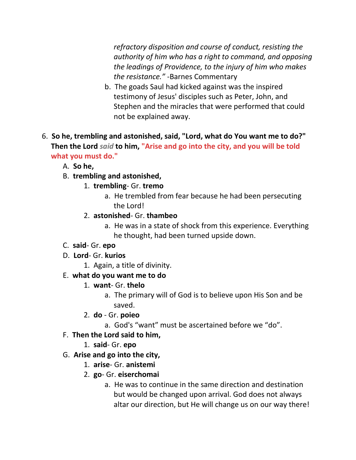*refractory disposition and course of conduct, resisting the authority of him who has a right to command, and opposing the leadings of Providence, to the injury of him who makes the resistance."* -Barnes Commentary

- b. The goads Saul had kicked against was the inspired testimony of Jesus' disciples such as Peter, John, and Stephen and the miracles that were performed that could not be explained away.
- 6. **So he, trembling and astonished, said, "Lord, what do You want me to do?" Then the Lord** *said* **to him, "Arise and go into the city, and you will be told what you must do."**
	- A. **So he,**
	- B. **trembling and astonished,**
		- 1. **trembling** Gr. **tremo**
			- a. He trembled from fear because he had been persecuting the Lord!
			- 2. **astonished** Gr. **thambeo**
				- a. He was in a state of shock from this experience. Everything he thought, had been turned upside down.
	- C. **said** Gr. **epo**
	- D. **Lord** Gr. **kurios**
		- 1. Again, a title of divinity.

# E. **what do you want me to do**

- 1. **want** Gr. **thelo**
	- a. The primary will of God is to believe upon His Son and be saved.
- 2. **do** Gr. **poieo**
	- a. God's "want" must be ascertained before we "do".
- F. **Then the Lord said to him,**
	- 1. **said** Gr. **epo**
- G. **Arise and go into the city,**
	- 1. **arise** Gr. **anistemi**
	- 2. **go** Gr. **eiserchomai**
		- a. He was to continue in the same direction and destination but would be changed upon arrival. God does not always altar our direction, but He will change us on our way there!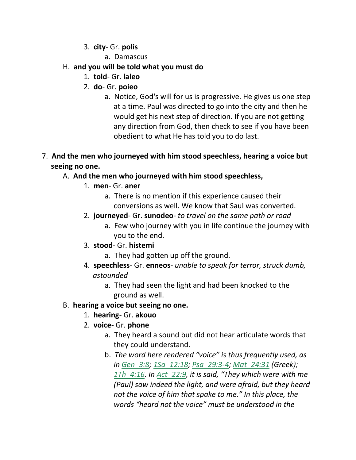- 3. **city** Gr. **polis**
	- a. Damascus

## H. **and you will be told what you must do**

- 1. **told** Gr. **laleo**
- 2. **do** Gr. **poieo**
	- a. Notice, God's will for us is progressive. He gives us one step at a time. Paul was directed to go into the city and then he would get his next step of direction. If you are not getting any direction from God, then check to see if you have been obedient to what He has told you to do last.
- 7. **And the men who journeyed with him stood speechless, hearing a voice but seeing no one.**

#### A. **And the men who journeyed with him stood speechless,**

- 1. **men** Gr. **aner**
	- a. There is no mention if this experience caused their conversions as well. We know that Saul was converted.
- 2. **journeyed** Gr. **sunodeo** *to travel on the same path or road*
	- a. Few who journey with you in life continue the journey with you to the end.
- 3. **stood** Gr. **histemi**
	- a. They had gotten up off the ground.
- 4. **speechless** Gr. **enneos** *unable to speak for terror, struck dumb, astounded*
	- a. They had seen the light and had been knocked to the ground as well.

#### B. **hearing a voice but seeing no one.**

- 1. **hearing** Gr. **akouo**
- 2. **voice** Gr. **phone**
	- a. They heard a sound but did not hear articulate words that they could understand.
	- b. *The word here rendered "voice" is thus frequently used, as in Gen\_3:8; 1Sa\_12:18; Psa\_29:3-4; Mat\_24:31 (Greek); 1Th\_4:16. In Act\_22:9, it is said, "They which were with me (Paul) saw indeed the light, and were afraid, but they heard not the voice of him that spake to me." In this place, the words "heard not the voice" must be understood in the*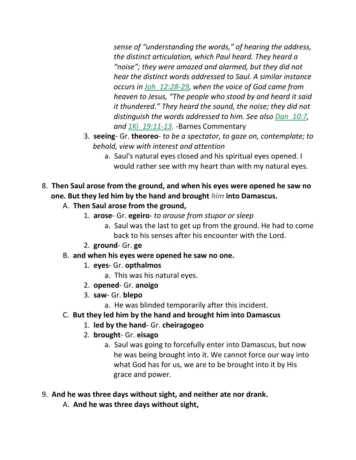*sense of "understanding the words," of hearing the address, the distinct articulation, which Paul heard. They heard a "noise"; they were amazed and alarmed, but they did not hear the distinct words addressed to Saul. A similar instance occurs in Joh\_12:28-29, when the voice of God came from heaven to Jesus, "The people who stood by and heard it said it thundered." They heard the sound, the noise; they did not distinguish the words addressed to him. See also Dan\_10:7, and 1Ki\_19:11-13.* -Barnes Commentary

- 3. **seeing** Gr. **theoreo** *to be a spectator, to gaze on, contemplate; to behold, view with interest and attention*
	- a. Saul's natural eyes closed and his spiritual eyes opened. I would rather see with my heart than with my natural eyes.
- 8. **Then Saul arose from the ground, and when his eyes were opened he saw no one. But they led him by the hand and brought** *him* **into Damascus.** 
	- A. **Then Saul arose from the ground,**
		- 1. **arose** Gr. **egeiro** *to arouse from stupor or sleep*
			- a. Saul was the last to get up from the ground. He had to come back to his senses after his encounter with the Lord.
		- 2. **ground** Gr. **ge**
	- B. **and when his eyes were opened he saw no one.**
		- 1. **eyes** Gr. **opthalmos**
			- a. This was his natural eyes.
		- 2. **opened** Gr. **anoigo**
		- 3. **saw** Gr. **blepo**
			- a. He was blinded temporarily after this incident.
	- C. **But they led him by the hand and brought him into Damascus**
		- 1. **led by the hand** Gr. **cheiragogeo**
		- 2. **brought** Gr. **eisago**
			- a. Saul was going to forcefully enter into Damascus, but now he was being brought into it. We cannot force our way into what God has for us, we are to be brought into it by His grace and power.
- 9. **And he was three days without sight, and neither ate nor drank.** 
	- A. **And he was three days without sight,**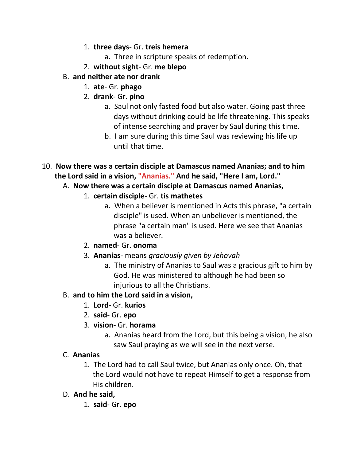- 1. **three days** Gr. **treis hemera**
	- a. Three in scripture speaks of redemption.
- 2. **without sight** Gr. **me blepo**
- B. **and neither ate nor drank**
	- 1. **ate** Gr. **phago**
	- 2. **drank** Gr. **pino**
		- a. Saul not only fasted food but also water. Going past three days without drinking could be life threatening. This speaks of intense searching and prayer by Saul during this time.
		- b. I am sure during this time Saul was reviewing his life up until that time.
- 10. **Now there was a certain disciple at Damascus named Ananias; and to him the Lord said in a vision, "Ananias." And he said, "Here I am, Lord."** 
	- A. **Now there was a certain disciple at Damascus named Ananias,**
		- 1. **certain disciple** Gr. **tis mathetes**
			- a. When a believer is mentioned in Acts this phrase, "a certain disciple" is used. When an unbeliever is mentioned, the phrase "a certain man" is used. Here we see that Ananias was a believer.
		- 2. **named** Gr. **onoma**
		- 3. **Ananias** means *graciously given by Jehovah*
			- a. The ministry of Ananias to Saul was a gracious gift to him by God. He was ministered to although he had been so injurious to all the Christians.
	- B. **and to him the Lord said in a vision,**
		- 1. **Lord** Gr. **kurios**
		- 2. **said** Gr. **epo**
		- 3. **vision** Gr. **horama**
			- a. Ananias heard from the Lord, but this being a vision, he also saw Saul praying as we will see in the next verse.

# C. **Ananias**

1. The Lord had to call Saul twice, but Ananias only once. Oh, that the Lord would not have to repeat Himself to get a response from His children.

# D. **And he said,**

1. **said**- Gr. **epo**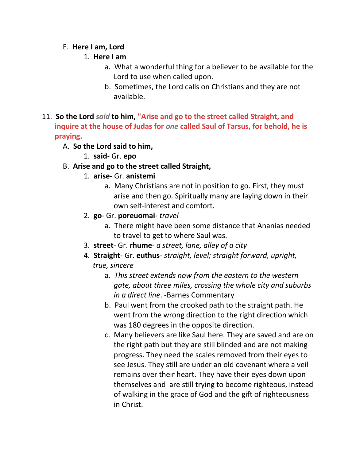#### E. **Here I am, Lord**

#### 1. **Here I am**

- a. What a wonderful thing for a believer to be available for the Lord to use when called upon.
- b. Sometimes, the Lord calls on Christians and they are not available.
- 11. **So the Lord** *said* **to him, "Arise and go to the street called Straight, and inquire at the house of Judas for** *one* **called Saul of Tarsus, for behold, he is praying.**

## A. **So the Lord said to him,**

1. **said**- Gr. **epo**

# B. **Arise and go to the street called Straight,**

- 1. **arise** Gr. **anistemi**
	- a. Many Christians are not in position to go. First, they must arise and then go. Spiritually many are laying down in their own self-interest and comfort.
- 2. **go** Gr. **poreuomai** *travel*
	- a. There might have been some distance that Ananias needed to travel to get to where Saul was.
- 3. **street** Gr. **rhume** *a street, lane, alley of a city*
- 4. **Straight** Gr. **euthus** *straight, level; straight forward, upright, true, sincere*
	- a. *This street extends now from the eastern to the western gate, about three miles, crossing the whole city and suburbs in a direct line*. -Barnes Commentary
	- b. Paul went from the crooked path to the straight path. He went from the wrong direction to the right direction which was 180 degrees in the opposite direction.
	- c. Many believers are like Saul here. They are saved and are on the right path but they are still blinded and are not making progress. They need the scales removed from their eyes to see Jesus. They still are under an old covenant where a veil remains over their heart. They have their eyes down upon themselves and are still trying to become righteous, instead of walking in the grace of God and the gift of righteousness in Christ.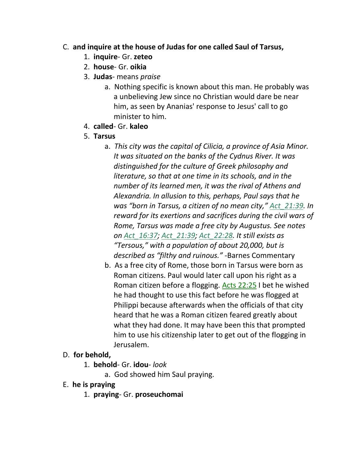#### C. **and inquire at the house of Judas for one called Saul of Tarsus,**

- 1. **inquire** Gr. **zeteo**
- 2. **house** Gr. **oikia**
- 3. **Judas** means *praise*
	- a. Nothing specific is known about this man. He probably was a unbelieving Jew since no Christian would dare be near him, as seen by Ananias' response to Jesus' call to go minister to him.
- 4. **called** Gr. **kaleo**
- 5. **Tarsus**
	- a. *This city was the capital of Cilicia, a province of Asia Minor. It was situated on the banks of the Cydnus River. It was distinguished for the culture of Greek philosophy and literature, so that at one time in its schools, and in the number of its learned men, it was the rival of Athens and Alexandria. In allusion to this, perhaps, Paul says that he was "born in Tarsus, a citizen of no mean city," Act\_21:39. In reward for its exertions and sacrifices during the civil wars of Rome, Tarsus was made a free city by Augustus. See notes on Act\_16:37; Act\_21:39; Act\_22:28. It still exists as "Tersous," with a population of about 20,000, but is described as "filthy and ruinous."* -Barnes Commentary
	- b. As a free city of Rome, those born in Tarsus were born as Roman citizens. Paul would later call upon his right as a Roman citizen before a flogging. Acts 22:25 I bet he wished he had thought to use this fact before he was flogged at Philippi because afterwards when the officials of that city heard that he was a Roman citizen feared greatly about what they had done. It may have been this that prompted him to use his citizenship later to get out of the flogging in Jerusalem.
- D. **for behold,**
	- 1. **behold** Gr. **idou** *look*
		- a. God showed him Saul praying.
- E. **he is praying**
	- 1. **praying** Gr. **proseuchomai**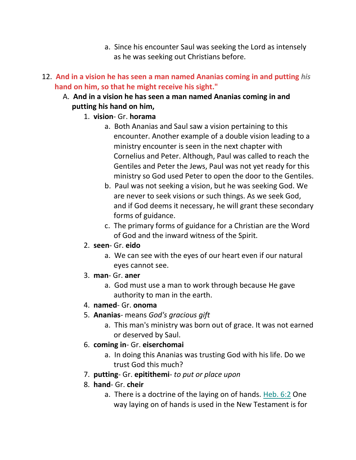- a. Since his encounter Saul was seeking the Lord as intensely as he was seeking out Christians before.
- 12. **And in a vision he has seen a man named Ananias coming in and putting** *his*  **hand on him, so that he might receive his sight."**
	- A. **And in a vision he has seen a man named Ananias coming in and putting his hand on him,**
		- 1. **vision** Gr. **horama**
			- a. Both Ananias and Saul saw a vision pertaining to this encounter. Another example of a double vision leading to a ministry encounter is seen in the next chapter with Cornelius and Peter. Although, Paul was called to reach the Gentiles and Peter the Jews, Paul was not yet ready for this ministry so God used Peter to open the door to the Gentiles.
			- b. Paul was not seeking a vision, but he was seeking God. We are never to seek visions or such things. As we seek God, and if God deems it necessary, he will grant these secondary forms of guidance.
			- c. The primary forms of guidance for a Christian are the Word of God and the inward witness of the Spirit.
		- 2. **seen** Gr. **eido**
			- a. We can see with the eyes of our heart even if our natural eyes cannot see.
		- 3. **man** Gr. **aner**
			- a. God must use a man to work through because He gave authority to man in the earth.

#### 4. **named**- Gr. **onoma**

- 5. **Ananias** means *God's gracious gift*
	- a. This man's ministry was born out of grace. It was not earned or deserved by Saul.
- 6. **coming in** Gr. **eiserchomai**
	- a. In doing this Ananias was trusting God with his life. Do we trust God this much?
- 7. **putting** Gr. **epitithemi** *to put or place upon*
- 8. **hand** Gr. **cheir**
	- a. There is a doctrine of the laying on of hands. Heb. 6:2 One way laying on of hands is used in the New Testament is for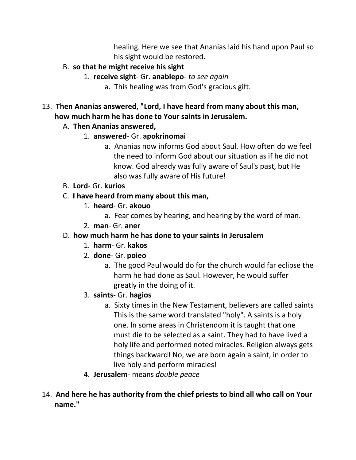healing. Here we see that Ananias laid his hand upon Paul so his sight would be restored.

- B. **so that he might receive his sight**
	- 1. **receive sight** Gr. **anablepo** *to see again*
		- a. This healing was from God's gracious gift.

# 13. **Then Ananias answered, "Lord, I have heard from many about this man, how much harm he has done to Your saints in Jerusalem.**

- A. **Then Ananias answered,**
	- 1. **answered** Gr. **apokrinomai**
		- a. Ananias now informs God about Saul. How often do we feel the need to inform God about our situation as if he did not know. God already was fully aware of Saul's past, but He also was fully aware of His future!
- B. **Lord** Gr. **kurios**
- C. **I have heard from many about this man,**
	- 1. **heard** Gr. **akouo**
		- a. Fear comes by hearing, and hearing by the word of man.
	- 2. **man** Gr. **aner**

#### D. **how much harm he has done to your saints in Jerusalem**

- 1. **harm** Gr. **kakos**
- 2. **done** Gr. **poieo**
	- a. The good Paul would do for the church would far eclipse the harm he had done as Saul. However, he would suffer greatly in the doing of it.
- 3. **saints** Gr. **hagios**
	- a. Sixty times in the New Testament, believers are called saints This is the same word translated "holy". A saints is a holy one. In some areas in Christendom it is taught that one must die to be selected as a saint. They had to have lived a holy life and performed noted miracles. Religion always gets things backward! No, we are born again a saint, in order to live holy and perform miracles!
- 4. **Jerusalem** means *double peace*
- 14. **And here he has authority from the chief priests to bind all who call on Your name."**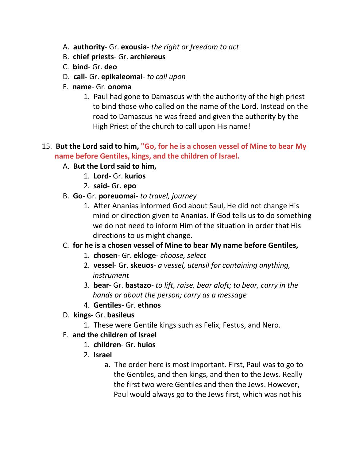- A. **authority** Gr. **exousia** *the right or freedom to act*
- B. **chief priests** Gr. **archiereus**
- C. **bind** Gr. **deo**
- D. **call-** Gr. **epikaleomai** *to call upon*
- E. **name** Gr. **onoma**
	- 1. Paul had gone to Damascus with the authority of the high priest to bind those who called on the name of the Lord. Instead on the road to Damascus he was freed and given the authority by the High Priest of the church to call upon His name!

## 15. **But the Lord said to him, "Go, for he is a chosen vessel of Mine to bear My name before Gentiles, kings, and the children of Israel.**

- A. **But the Lord said to him,**
	- 1. **Lord** Gr. **kurios**
	- 2. **said-** Gr. **epo**
- B. **Go** Gr. **poreuomai** *to travel, journey*
	- 1. After Ananias informed God about Saul, He did not change His mind or direction given to Ananias. If God tells us to do something we do not need to inform Him of the situation in order that His directions to us might change.

## C. **for he is a chosen vessel of Mine to bear My name before Gentiles,**

- 1. **chosen** Gr. **ekloge** *choose, select*
- 2. **vessel** Gr. **skeuos** *a vessel, utensil for containing anything, instrument*
- 3. **bear** Gr. **bastazo** *to lift, raise, bear aloft; to bear, carry in the hands or about the person; carry as a message*
- 4. **Gentiles** Gr. **ethnos**
- D. **kings-** Gr. **basileus**
	- 1. These were Gentile kings such as Felix, Festus, and Nero.

#### E. **and the children of Israel**

- 1. **children** Gr. **huios**
- 2. **Israel**
	- a. The order here is most important. First, Paul was to go to the Gentiles, and then kings, and then to the Jews. Really the first two were Gentiles and then the Jews. However, Paul would always go to the Jews first, which was not his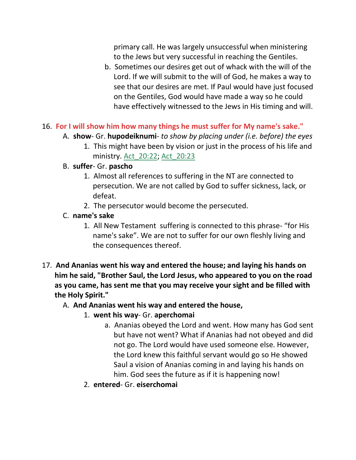primary call. He was largely unsuccessful when ministering to the Jews but very successful in reaching the Gentiles.

- b. Sometimes our desires get out of whack with the will of the Lord. If we will submit to the will of God, he makes a way to see that our desires are met. If Paul would have just focused on the Gentiles, God would have made a way so he could have effectively witnessed to the Jews in His timing and will.
- 16. **For I will show him how many things he must suffer for My name's sake."**
	- A. **show** Gr. **hupodeiknumi** *to show by placing under (i.e. before) the eyes*
		- 1. This might have been by vision or just in the process of his life and ministry. Act\_20:22; Act\_20:23
	- B. **suffer** Gr. **pascho**
		- 1. Almost all references to suffering in the NT are connected to persecution. We are not called by God to suffer sickness, lack, or defeat.
		- 2. The persecutor would become the persecuted.
	- C. **name's sake**
		- 1. All New Testament suffering is connected to this phrase- "for His name's sake". We are not to suffer for our own fleshly living and the consequences thereof.
- 17. **And Ananias went his way and entered the house; and laying his hands on him he said, "Brother Saul, the Lord Jesus, who appeared to you on the road as you came, has sent me that you may receive your sight and be filled with the Holy Spirit."**
	- A. **And Ananias went his way and entered the house,**
		- 1. **went his way** Gr. **aperchomai**
			- a. Ananias obeyed the Lord and went. How many has God sent but have not went? What if Ananias had not obeyed and did not go. The Lord would have used someone else. However, the Lord knew this faithful servant would go so He showed Saul a vision of Ananias coming in and laying his hands on him. God sees the future as if it is happening now!
		- 2. **entered** Gr. **eiserchomai**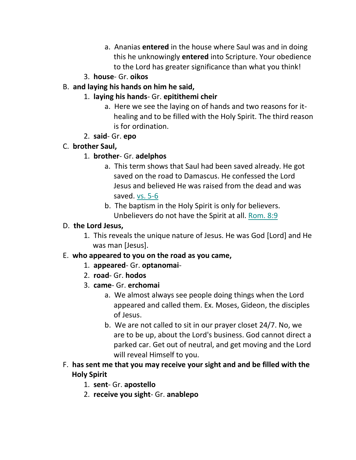- a. Ananias **entered** in the house where Saul was and in doing this he unknowingly **entered** into Scripture. Your obedience to the Lord has greater significance than what you think!
- 3. **house** Gr. **oikos**
- B. **and laying his hands on him he said,**
	- 1. **laying his hands** Gr. **epitithemi cheir**
		- a. Here we see the laying on of hands and two reasons for it healing and to be filled with the Holy Spirit. The third reason is for ordination.
	- 2. **said** Gr. **epo**

# C. **brother Saul,**

- 1. **brother** Gr. **adelphos**
	- a. This term shows that Saul had been saved already. He got saved on the road to Damascus. He confessed the Lord Jesus and believed He was raised from the dead and was saved. vs. 5-6
	- b. The baptism in the Holy Spirit is only for believers. Unbelievers do not have the Spirit at all. Rom. 8:9

# D. **the Lord Jesus,**

1. This reveals the unique nature of Jesus. He was God [Lord] and He was man [Jesus].

# E. **who appeared to you on the road as you came,**

- 1. **appeared** Gr. **optanomai**-
- 2. **road** Gr. **hodos**
- 3. **came** Gr. **erchomai**
	- a. We almost always see people doing things when the Lord appeared and called them. Ex. Moses, Gideon, the disciples of Jesus.
	- b. We are not called to sit in our prayer closet 24/7. No, we are to be up, about the Lord's business. God cannot direct a parked car. Get out of neutral, and get moving and the Lord will reveal Himself to you.
- F. **has sent me that you may receive your sight and and be filled with the Holy Spirit**
	- 1. **sent** Gr. **apostello**
	- 2. **receive you sight** Gr. **anablepo**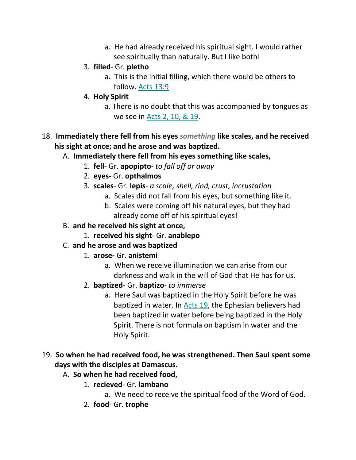a. He had already received his spiritual sight. I would rather see spiritually than naturally. But I like both!

#### 3. **filled**- Gr. **pletho**

- a. This is the initial filling, which there would be others to follow. Acts 13:9
- 4. **Holy Spirit**
	- a. There is no doubt that this was accompanied by tongues as we see in Acts 2, 10, & 19.
- 18. **Immediately there fell from his eyes** *something* **like scales, and he received his sight at once; and he arose and was baptized.** 
	- A. **Immediately there fell from his eyes something like scales,**
		- 1. **fell** Gr. **apopipto** *to fall off or away*
		- 2. **eyes** Gr. **opthalmos**
		- 3. **scales** Gr. **lepis** *a scale, shell, rind, crust, incrustation*
			- a. Scales did not fall from his eyes, but something like it.
			- b. Scales were coming off his natural eyes, but they had already come off of his spiritual eyes!
	- B. **and he received his sight at once,**
		- 1. **received his sight** Gr. **anablepo**
	- C. **and he arose and was baptized**
		- 1. **arose-** Gr. **anistemi**
			- a. When we receive illumination we can arise from our darkness and walk in the will of God that He has for us.
		- 2. **baptized** Gr. **baptizo** *to immerse*
			- a. Here Saul was baptized in the Holy Spirit before he was baptized in water. In Acts 19, the Ephesian believers had been baptized in water before being baptized in the Holy Spirit. There is not formula on baptism in water and the Holy Spirit.
- 19. **So when he had received food, he was strengthened. Then Saul spent some days with the disciples at Damascus.** 
	- A. **So when he had received food,**
		- 1. **recieved** Gr. **lambano**
			- a. We need to receive the spiritual food of the Word of God.
		- 2. **food** Gr. **trophe**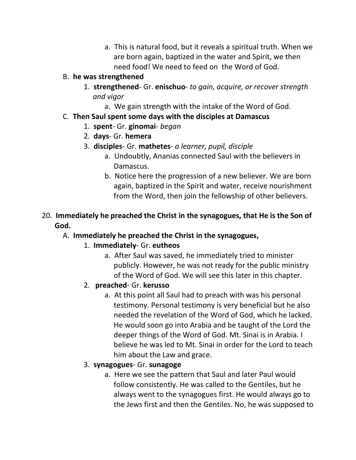a. This is natural food, but it reveals a spiritual truth. When we are born again, baptized in the water and Spirit, we then need food! We need to feed on the Word of God.

#### B. **he was strengthened**

- 1. **strengthened** Gr. **enischuo** *to gain, acquire, or recover strength and vigor*
	- a. We gain strength with the intake of the Word of God.
- C. **Then Saul spent some days with the disciples at Damascus**
	- 1. **spent** Gr. **ginomai** *began*
	- 2. **days** Gr. **hemera**
	- 3. **disciples** Gr. **mathetes** *a learner, pupil, disciple*
		- a. Undoubtly, Ananias connected Saul with the believers in Damascus.
		- b. Notice here the progression of a new believer. We are born again, baptized in the Spirit and water, receive nourishment from the Word, then join the fellowship of other believers.

# 20. **Immediately he preached the Christ in the synagogues, that He is the Son of God.**

## A. **Immediately he preached the Christ in the synagogues,**

## 1. **Immediately**- Gr. **eutheos**

- a. After Saul was saved, he immediately tried to minister publicly. However, he was not ready for the public ministry of the Word of God. We will see this later in this chapter.
- 2. **preached** Gr. **kerusso**
	- a. At this point all Saul had to preach with was his personal testimony. Personal testimony is very beneficial but he also needed the revelation of the Word of God, which he lacked. He would soon go into Arabia and be taught of the Lord the deeper things of the Word of God. Mt. Sinai is in Arabia. I believe he was led to Mt. Sinai in order for the Lord to teach him about the Law and grace.

## 3. **synagogues**- Gr. **sunagoge**

a. Here we see the pattern that Saul and later Paul would follow consistently. He was called to the Gentiles, but he always went to the synagogues first. He would always go to the Jews first and then the Gentiles. No, he was supposed to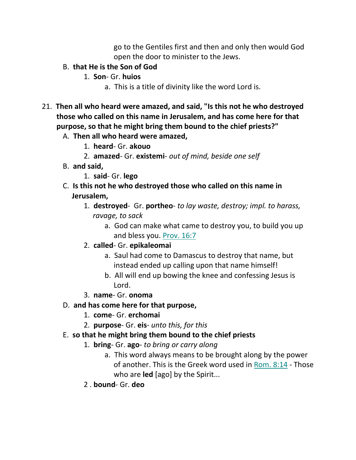go to the Gentiles first and then and only then would God open the door to minister to the Jews.

- B. **that He is the Son of God**
	- 1. **Son** Gr. **huios**
		- a. This is a title of divinity like the word Lord is.
- 21. **Then all who heard were amazed, and said, "Is this not he who destroyed those who called on this name in Jerusalem, and has come here for that purpose, so that he might bring them bound to the chief priests?"** 
	- A. **Then all who heard were amazed,**
		- 1. **heard** Gr. **akouo**
		- 2. **amazed** Gr. **existemi** *out of mind, beside one self*
	- B. **and said,**
		- 1. **said** Gr. **lego**
	- C. **Is this not he who destroyed those who called on this name in Jerusalem,**
		- 1. **destroyed** Gr. **portheo** *to lay waste, destroy; impl. to harass, ravage, to sack*
			- a. God can make what came to destroy you, to build you up and bless you. Prov. 16:7
		- 2. **called** Gr. **epikaleomai**
			- a. Saul had come to Damascus to destroy that name, but instead ended up calling upon that name himself!
			- b. All will end up bowing the knee and confessing Jesus is Lord.
		- 3. **name** Gr. **onoma**
	- D. **and has come here for that purpose,**
		- 1. **come** Gr. **erchomai**
		- 2. **purpose** Gr. **eis** *unto this, for this*
	- E. **so that he might bring them bound to the chief priests**
		- 1. **bring** Gr. **ago** *to bring or carry along*
			- a. This word always means to be brought along by the power of another. This is the Greek word used in Rom. 8:14 - Those who are **led** [ago] by the Spirit...
		- 2 . **bound** Gr. **deo**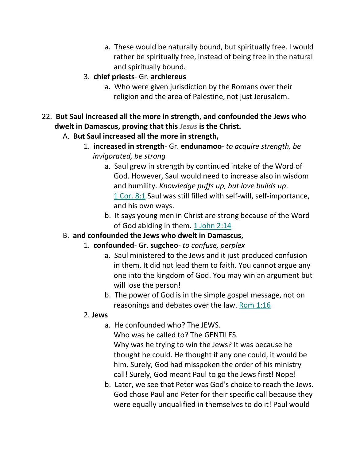- a. These would be naturally bound, but spiritually free. I would rather be spiritually free, instead of being free in the natural and spiritually bound.
- 3. **chief priests** Gr. **archiereus**
	- a. Who were given jurisdiction by the Romans over their religion and the area of Palestine, not just Jerusalem.
- 22. **But Saul increased all the more in strength, and confounded the Jews who dwelt in Damascus, proving that this** *Jesus* **is the Christ.** 
	- A. **But Saul increased all the more in strength,**
		- 1. **increased in strength** Gr. **endunamoo** *to acquire strength, be invigorated, be strong*
			- a. Saul grew in strength by continued intake of the Word of God. However, Saul would need to increase also in wisdom and humility. *Knowledge puffs up, but love builds up*. 1 Cor. 8:1 Saul was still filled with self-will, self-importance, and his own ways.
			- b. It says young men in Christ are strong because of the Word of God abiding in them. 1 John 2:14

# B. **and confounded the Jews who dwelt in Damascus,**

- 1. **confounded** Gr. **sugcheo** *to confuse, perplex*
	- a. Saul ministered to the Jews and it just produced confusion in them. It did not lead them to faith. You cannot argue any one into the kingdom of God. You may win an argument but will lose the person!
	- b. The power of God is in the simple gospel message, not on reasonings and debates over the law. Rom 1:16

## 2. **Jews**

a. He confounded who? The JEWS.

 Who was he called to? The GENTILES. Why was he trying to win the Jews? It was because he thought he could. He thought if any one could, it would be him. Surely, God had misspoken the order of his ministry call! Surely, God meant Paul to go the Jews first! Nope!

b. Later, we see that Peter was God's choice to reach the Jews. God chose Paul and Peter for their specific call because they were equally unqualified in themselves to do it! Paul would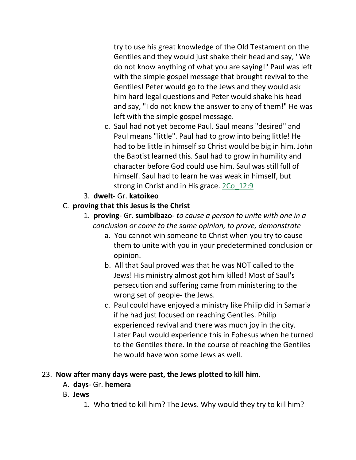try to use his great knowledge of the Old Testament on the Gentiles and they would just shake their head and say, "We do not know anything of what you are saying!" Paul was left with the simple gospel message that brought revival to the Gentiles! Peter would go to the Jews and they would ask him hard legal questions and Peter would shake his head and say, "I do not know the answer to any of them!" He was left with the simple gospel message.

- c. Saul had not yet become Paul. Saul means "desired" and Paul means "little". Paul had to grow into being little! He had to be little in himself so Christ would be big in him. John the Baptist learned this. Saul had to grow in humility and character before God could use him. Saul was still full of himself. Saul had to learn he was weak in himself, but strong in Christ and in His grace. 2Co\_12:9
- 3. **dwelt** Gr. **katoikeo**

# C. **proving that this Jesus is the Christ**

- 1. **proving** Gr. **sumbibazo** *to cause a person to unite with one in a conclusion or come to the same opinion, to prove, demonstrate*
	- a. You cannot win someone to Christ when you try to cause them to unite with you in your predetermined conclusion or opinion.
	- b. All that Saul proved was that he was NOT called to the Jews! His ministry almost got him killed! Most of Saul's persecution and suffering came from ministering to the wrong set of people- the Jews.
	- c. Paul could have enjoyed a ministry like Philip did in Samaria if he had just focused on reaching Gentiles. Philip experienced revival and there was much joy in the city. Later Paul would experience this in Ephesus when he turned to the Gentiles there. In the course of reaching the Gentiles he would have won some Jews as well.

## 23. **Now after many days were past, the Jews plotted to kill him.**

- A. **days** Gr. **hemera**
- B. **Jews**
	- 1. Who tried to kill him? The Jews. Why would they try to kill him?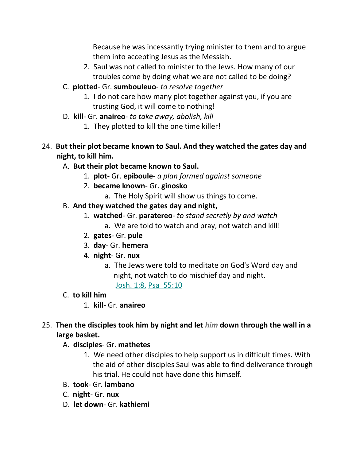Because he was incessantly trying minister to them and to argue them into accepting Jesus as the Messiah.

- 2. Saul was not called to minister to the Jews. How many of our troubles come by doing what we are not called to be doing?
- C. **plotted** Gr. **sumbouleuo** *to resolve together*
	- 1. I do not care how many plot together against you, if you are trusting God, it will come to nothing!
- D. **kill** Gr. **anaireo** *to take away, abolish, kill*
	- 1. They plotted to kill the one time killer!
- 24. **But their plot became known to Saul. And they watched the gates day and night, to kill him.** 
	- A. **But their plot became known to Saul.**
		- 1. **plot** Gr. **epiboule** *a plan formed against someone*
		- 2. **became known** Gr. **ginosko**
			- a. The Holy Spirit will show us things to come.

# B. **And they watched the gates day and night,**

- 1. **watched** Gr. **paratereo** *to stand secretly by and watch*
	- a. We are told to watch and pray, not watch and kill!
- 2. **gates** Gr. **pule**
- 3. **day** Gr. **hemera**
- 4. **night** Gr. **nux**
	- a. The Jews were told to meditate on God's Word day and night, not watch to do mischief day and night.

Josh. 1:8, Psa\_55:10

- C. **to kill him**
	- 1. **kill** Gr. **anaireo**
- 25. **Then the disciples took him by night and let** *him* **down through the wall in a large basket.** 
	- A. **disciples** Gr. **mathetes**
		- 1. We need other disciples to help support us in difficult times. With the aid of other disciples Saul was able to find deliverance through his trial. He could not have done this himself.
	- B. **took** Gr. **lambano**
	- C. **night** Gr. **nux**
	- D. **let down** Gr. **kathiemi**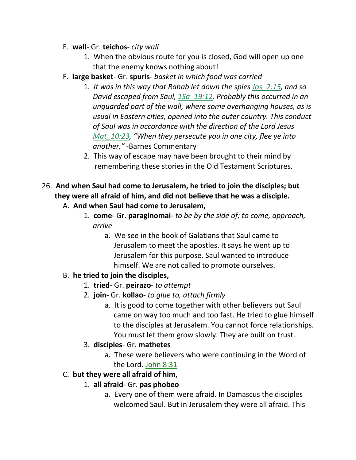- E. **wall** Gr. **teichos** *city wall*
	- 1. When the obvious route for you is closed, God will open up one that the enemy knows nothing about!
- F. **large basket** Gr. **spuris** *basket in which food was carried*
	- 1. *It was in this way that Rahab let down the spies Jos\_2:15, and so David escaped from Saul, 1Sa\_19:12. Probably this occurred in an unguarded part of the wall, where some overhanging houses, as is usual in Eastern cities, opened into the outer country. This conduct of Saul was in accordance with the direction of the Lord Jesus Mat\_10:23, "When they persecute you in one city, flee ye into another,"* -Barnes Commentary
	- 2. This way of escape may have been brought to their mind by remembering these stories in the Old Testament Scriptures.
- 26. **And when Saul had come to Jerusalem, he tried to join the disciples; but they were all afraid of him, and did not believe that he was a disciple.** 
	- A. **And when Saul had come to Jerusalem,**
		- 1. **come** Gr. **paraginomai** *to be by the side of; to come, approach, arrive*
			- a. We see in the book of Galatians that Saul came to Jerusalem to meet the apostles. It says he went up to Jerusalem for this purpose. Saul wanted to introduce himself. We are not called to promote ourselves.
	- B. **he tried to join the disciples,**
		- 1. **tried** Gr. **peirazo** *to attempt*
		- 2. **join** Gr. **kollao** *to glue to, attach firmly*
			- a. It is good to come together with other believers but Saul came on way too much and too fast. He tried to glue himself to the disciples at Jerusalem. You cannot force relationships. You must let them grow slowly. They are built on trust.
		- 3. **disciples** Gr. **mathetes**
			- a. These were believers who were continuing in the Word of the Lord. John 8:31
	- C. **but they were all afraid of him,**
		- 1. **all afraid** Gr. **pas phobeo**
			- a. Every one of them were afraid. In Damascus the disciples welcomed Saul. But in Jerusalem they were all afraid. This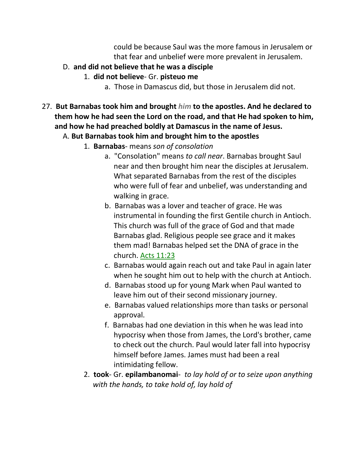could be because Saul was the more famous in Jerusalem or that fear and unbelief were more prevalent in Jerusalem.

- D. **and did not believe that he was a disciple**
	- 1. **did not believe** Gr. **pisteuo me**
		- a. Those in Damascus did, but those in Jerusalem did not.
- 27. **But Barnabas took him and brought** *him* **to the apostles. And he declared to them how he had seen the Lord on the road, and that He had spoken to him, and how he had preached boldly at Damascus in the name of Jesus.** 
	- A. **But Barnabas took him and brought him to the apostles**
		- 1. **Barnabas** means *son of consolation*
			- a. "Consolation" means *to call near*. Barnabas brought Saul near and then brought him near the disciples at Jerusalem. What separated Barnabas from the rest of the disciples who were full of fear and unbelief, was understanding and walking in grace.
			- b. Barnabas was a lover and teacher of grace. He was instrumental in founding the first Gentile church in Antioch. This church was full of the grace of God and that made Barnabas glad. Religious people see grace and it makes them mad! Barnabas helped set the DNA of grace in the church. Acts 11:23
			- c. Barnabas would again reach out and take Paul in again later when he sought him out to help with the church at Antioch.
			- d. Barnabas stood up for young Mark when Paul wanted to leave him out of their second missionary journey.
			- e. Barnabas valued relationships more than tasks or personal approval.
			- f. Barnabas had one deviation in this when he was lead into hypocrisy when those from James, the Lord's brother, came to check out the church. Paul would later fall into hypocrisy himself before James. James must had been a real intimidating fellow.
		- 2. **took** Gr. **epilambanomai** *to lay hold of or to seize upon anything with the hands, to take hold of, lay hold of*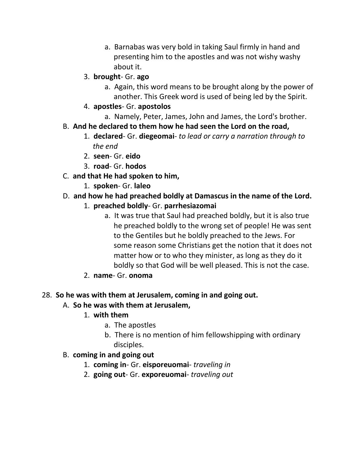- a. Barnabas was very bold in taking Saul firmly in hand and presenting him to the apostles and was not wishy washy about it.
- 3. **brought** Gr. **ago**
	- a. Again, this word means to be brought along by the power of another. This Greek word is used of being led by the Spirit.
- 4. **apostles** Gr. **apostolos**
	- a. Namely, Peter, James, John and James, the Lord's brother.
- B. **And he declared to them how he had seen the Lord on the road,**
	- 1. **declared** Gr. **diegeomai** *to lead or carry a narration through to the end*
	- 2. **seen** Gr. **eido**
	- 3. **road** Gr. **hodos**
- C. **and that He had spoken to him,**
	- 1. **spoken** Gr. **laleo**

#### D. **and how he had preached boldly at Damascus in the name of the Lord.**

- 1. **preached boldly** Gr. **parrhesiazomai**
	- a. It was true that Saul had preached boldly, but it is also true he preached boldly to the wrong set of people! He was sent to the Gentiles but he boldly preached to the Jews. For some reason some Christians get the notion that it does not matter how or to who they minister, as long as they do it boldly so that God will be well pleased. This is not the case.
- 2. **name** Gr. **onoma**

#### 28. **So he was with them at Jerusalem, coming in and going out.**

- A. **So he was with them at Jerusalem,**
	- 1. **with them**
		- a. The apostles
		- b. There is no mention of him fellowshipping with ordinary disciples.

#### B. **coming in and going out**

- 1. **coming in** Gr. **eisporeuomai** *traveling in*
- 2. **going out** Gr. **exporeuomai** *traveling out*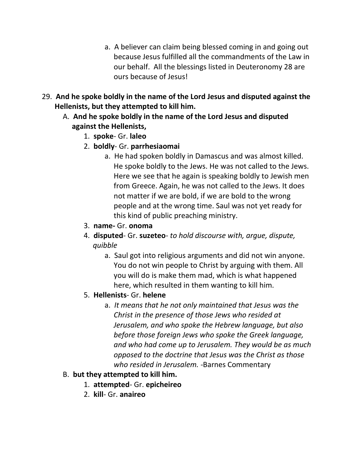- a. A believer can claim being blessed coming in and going out because Jesus fulfilled all the commandments of the Law in our behalf. All the blessings listed in Deuteronomy 28 are ours because of Jesus!
- 29. **And he spoke boldly in the name of the Lord Jesus and disputed against the Hellenists, but they attempted to kill him.** 
	- A. **And he spoke boldly in the name of the Lord Jesus and disputed against the Hellenists,**
		- 1. **spoke** Gr. **laleo**
		- 2. **boldly** Gr. **parrhesiaomai**
			- a. He had spoken boldly in Damascus and was almost killed. He spoke boldly to the Jews. He was not called to the Jews. Here we see that he again is speaking boldly to Jewish men from Greece. Again, he was not called to the Jews. It does not matter if we are bold, if we are bold to the wrong people and at the wrong time. Saul was not yet ready for this kind of public preaching ministry.
		- 3. **name-** Gr. **onoma**
		- 4. **disputed** Gr. **suzeteo** *to hold discourse with, argue, dispute, quibble*
			- a. Saul got into religious arguments and did not win anyone. You do not win people to Christ by arguing with them. All you will do is make them mad, which is what happened here, which resulted in them wanting to kill him.
		- 5. **Hellenists** Gr. **helene**
			- a. *It means that he not only maintained that Jesus was the Christ in the presence of those Jews who resided at Jerusalem, and who spoke the Hebrew language, but also before those foreign Jews who spoke the Greek language, and who had come up to Jerusalem. They would be as much opposed to the doctrine that Jesus was the Christ as those who resided in Jerusalem. -*Barnes Commentary

## B. **but they attempted to kill him.**

- 1. **attempted** Gr. **epicheireo**
- 2. **kill** Gr. **anaireo**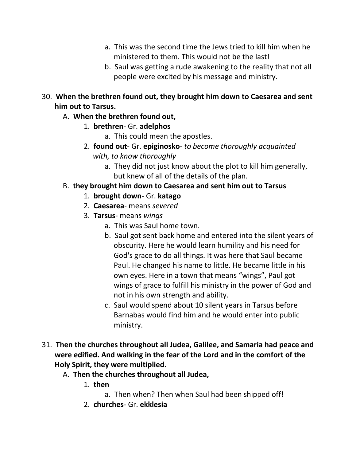- a. This was the second time the Jews tried to kill him when he ministered to them. This would not be the last!
- b. Saul was getting a rude awakening to the reality that not all people were excited by his message and ministry.
- 30. **When the brethren found out, they brought him down to Caesarea and sent him out to Tarsus.**
	- A. **When the brethren found out,**
		- 1. **brethren** Gr. **adelphos**
			- a. This could mean the apostles.
		- 2. **found out** Gr. **epiginosko** *to become thoroughly acquainted with, to know thoroughly*
			- a. They did not just know about the plot to kill him generally, but knew of all of the details of the plan.

# B. **they brought him down to Caesarea and sent him out to Tarsus**

- 1. **brought down** Gr. **katago**
- 2. **Caesarea** means *severed*
- 3. **Tarsus** means *wings*
	- a. This was Saul home town.
	- b. Saul got sent back home and entered into the silent years of obscurity. Here he would learn humility and his need for God's grace to do all things. It was here that Saul became Paul. He changed his name to little. He became little in his own eyes. Here in a town that means "wings", Paul got wings of grace to fulfill his ministry in the power of God and not in his own strength and ability.
	- c. Saul would spend about 10 silent years in Tarsus before Barnabas would find him and he would enter into public ministry.
- 31. **Then the churches throughout all Judea, Galilee, and Samaria had peace and were edified. And walking in the fear of the Lord and in the comfort of the Holy Spirit, they were multiplied.** 
	- A. **Then the churches throughout all Judea,**
		- 1. **then**
			- a. Then when? Then when Saul had been shipped off!
		- 2. **churches** Gr. **ekklesia**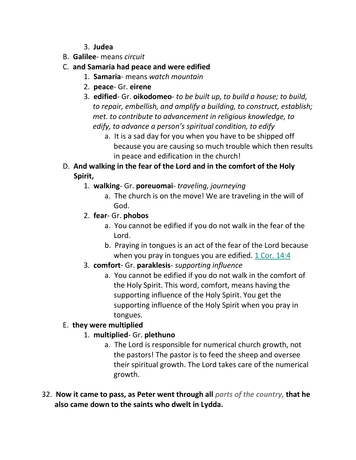- 3. **Judea**
- B. **Galilee** means *circuit*
- C. **and Samaria had peace and were edified**
	- 1. **Samaria** means *watch mountain*
	- 2. **peace** Gr. **eirene**
	- 3. **edified** Gr. **oikodomeo** *to be built up, to build a house; to build, to repair, embellish, and amplify a building, to construct, establish; met. to contribute to advancement in religious knowledge, to edify, to advance a person's spiritual condition, to edify* 
		- a. It is a sad day for you when you have to be shipped off because you are causing so much trouble which then results in peace and edification in the church!
- D. **And walking in the fear of the Lord and in the comfort of the Holy Spirit,**
	- 1. **walking** Gr. **poreuomai** *traveling, journeying*
		- a. The church is on the move! We are traveling in the will of God.
	- 2. **fear** Gr. **phobos**
		- a. You cannot be edified if you do not walk in the fear of the Lord.
		- b. Praying in tongues is an act of the fear of the Lord because when you pray in tongues you are edified. 1 Cor. 14:4
	- 3. **comfort** Gr. **paraklesis** *supporting influence*
		- a. You cannot be edified if you do not walk in the comfort of the Holy Spirit. This word, comfort, means having the supporting influence of the Holy Spirit. You get the supporting influence of the Holy Spirit when you pray in tongues.

# E. **they were multiplied**

# 1. **multiplied**- Gr. **plethuno**

- a. The Lord is responsible for numerical church growth, not the pastors! The pastor is to feed the sheep and oversee their spiritual growth. The Lord takes care of the numerical growth.
- 32. **Now it came to pass, as Peter went through all** *parts of the country,* **that he also came down to the saints who dwelt in Lydda.**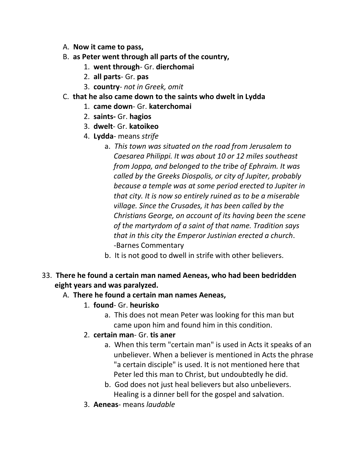- A. **Now it came to pass,**
- B. **as Peter went through all parts of the country,**
	- 1. **went through** Gr. **dierchomai**
	- 2. **all parts** Gr. **pas**
	- 3. **country** *not in Greek, omit*
- C. **that he also came down to the saints who dwelt in Lydda**
	- 1. **came down** Gr. **katerchomai**
	- 2. **saints-** Gr. **hagios**
	- 3. **dwelt** Gr. **katoikeo**
	- 4. **Lydda** means *strife*
		- a. *This town was situated on the road from Jerusalem to Caesarea Philippi. It was about 10 or 12 miles southeast from Joppa, and belonged to the tribe of Ephraim. It was called by the Greeks Diospolis, or city of Jupiter, probably because a temple was at some period erected to Jupiter in that city. It is now so entirely ruined as to be a miserable village. Since the Crusades, it has been called by the Christians George, on account of its having been the scene of the martyrdom of a saint of that name. Tradition says that in this city the Emperor Justinian erected a church*. -Barnes Commentary
		- b. It is not good to dwell in strife with other believers.
- 33. **There he found a certain man named Aeneas, who had been bedridden eight years and was paralyzed.**

## A. **There he found a certain man names Aeneas,**

- 1. **found** Gr. **heurisko**
	- a. This does not mean Peter was looking for this man but came upon him and found him in this condition.
- 2. **certain man** Gr. **tis aner**
	- a. When this term "certain man" is used in Acts it speaks of an unbeliever. When a believer is mentioned in Acts the phrase "a certain disciple" is used. It is not mentioned here that Peter led this man to Christ, but undoubtedly he did.
	- b. God does not just heal believers but also unbelievers. Healing is a dinner bell for the gospel and salvation.
- 3. **Aeneas** means *laudable*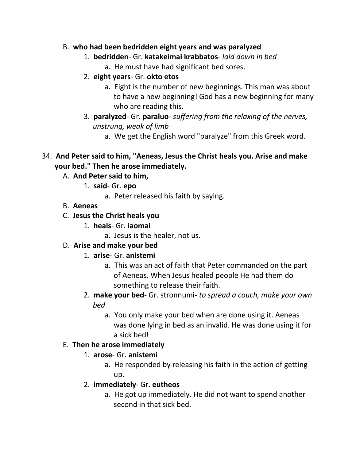#### B. **who had been bedridden eight years and was paralyzed**

- 1. **bedridden** Gr. **katakeimai krabbatos** *laid down in bed*
	- a. He must have had significant bed sores.
- 2. **eight years** Gr. **okto etos**
	- a. Eight is the number of new beginnings. This man was about to have a new beginning! God has a new beginning for many who are reading this.
- 3. **paralyzed** Gr. **paraluo** *suffering from the relaxing of the nerves, unstrung, weak of limb*
	- a. We get the English word "paralyze" from this Greek word.
- 34. **And Peter said to him, "Aeneas, Jesus the Christ heals you. Arise and make your bed." Then he arose immediately.** 
	- A. **And Peter said to him,**
		- 1. **said** Gr. **epo**
			- a. Peter released his faith by saying.
	- B. **Aeneas**
	- C. **Jesus the Christ heals you**
		- 1. **heals** Gr. **iaomai**
			- a. Jesus is the healer, not us.
	- D. **Arise and make your bed**
		- 1. **arise** Gr. **anistemi**
			- a. This was an act of faith that Peter commanded on the part of Aeneas. When Jesus healed people He had them do something to release their faith.
		- 2. **make your bed** Gr. stronnumi- *to spread a couch, make your own bed*
			- a. You only make your bed when are done using it. Aeneas was done lying in bed as an invalid. He was done using it for a sick bed!

# E. **Then he arose immediately**

- 1. **arose** Gr. **anistemi**
	- a. He responded by releasing his faith in the action of getting up.
- 2. **immediately** Gr. **eutheos**
	- a. He got up immediately. He did not want to spend another second in that sick bed.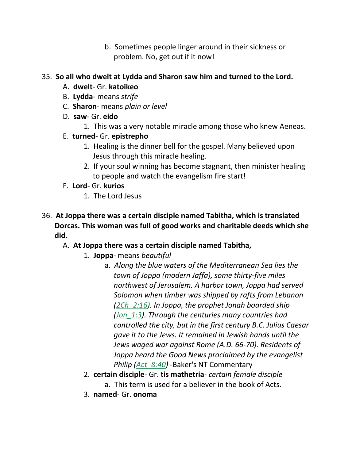b. Sometimes people linger around in their sickness or problem. No, get out if it now!

#### 35. **So all who dwelt at Lydda and Sharon saw him and turned to the Lord.**

- A. **dwelt** Gr. **katoikeo**
- B. **Lydda** means *strife*
- C. **Sharon** means *plain or level*
- D. **saw** Gr. **eido**
	- 1. This was a very notable miracle among those who knew Aeneas.
- E. **turned** Gr. **epistrepho**
	- 1. Healing is the dinner bell for the gospel. Many believed upon Jesus through this miracle healing.
	- 2. If your soul winning has become stagnant, then minister healing to people and watch the evangelism fire start!
- F. **Lord** Gr. **kurios**
	- 1. The Lord Jesus
- 36. **At Joppa there was a certain disciple named Tabitha, which is translated Dorcas. This woman was full of good works and charitable deeds which she did.** 
	- A. **At Joppa there was a certain disciple named Tabitha,**
		- 1. **Joppa** means *beautiful*
			- a. *Along the blue waters of the Mediterranean Sea lies the town of Joppa (modern Jaffa), some thirty-five miles northwest of Jerusalem. A harbor town, Joppa had served Solomon when timber was shipped by rafts from Lebanon (2Ch\_2:16). In Joppa, the prophet Jonah boarded ship (Jon\_1:3). Through the centuries many countries had controlled the city, but in the first century B.C. Julius Caesar gave it to the Jews. It remained in Jewish hands until the Jews waged war against Rome (A.D. 66-70). Residents of Joppa heard the Good News proclaimed by the evangelist Philip (Act\_8:40) -*Baker's NT Commentary
		- 2. **certain disciple** Gr. **tis mathetria** *certain female disciple* a. This term is used for a believer in the book of Acts.
		- 3. **named** Gr. **onoma**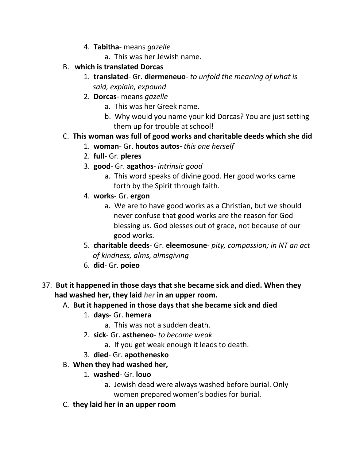- 4. **Tabitha** means *gazelle*
	- a. This was her Jewish name.
- B. **which is translated Dorcas**
	- 1. **translated** Gr. **diermeneuo** *to unfold the meaning of what is said, explain, expound*
	- 2. **Dorcas** means *gazelle*
		- a. This was her Greek name.
		- b. Why would you name your kid Dorcas? You are just setting them up for trouble at school!

# C. **This woman was full of good works and charitable deeds which she did**

- 1. **woman** Gr. **houtos autos-** *this one herself*
- 2. **full** Gr. **pleres**
- 3. **good** Gr. **agathos** *intrinsic good*
	- a. This word speaks of divine good. Her good works came forth by the Spirit through faith.
- 4. **works** Gr. **ergon**
	- a. We are to have good works as a Christian, but we should never confuse that good works are the reason for God blessing us. God blesses out of grace, not because of our good works.
- 5. **charitable deeds** Gr. **eleemosune** *pity, compassion; in NT an act of kindness, alms, almsgiving*
- 6. **did** Gr. **poieo**
- 37. **But it happened in those days that she became sick and died. When they had washed her, they laid** *her* **in an upper room.** 
	- A. **But it happened in those days that she became sick and died**
		- 1. **days** Gr. **hemera**
			- a. This was not a sudden death.
		- 2. **sick** Gr. **astheneo** *to become weak*
			- a. If you get weak enough it leads to death.
		- 3. **died** Gr. **apothenesko**
	- B. **When they had washed her,**
		- 1. **washed** Gr. **louo**
			- a. Jewish dead were always washed before burial. Only women prepared women's bodies for burial.
	- C. **they laid her in an upper room**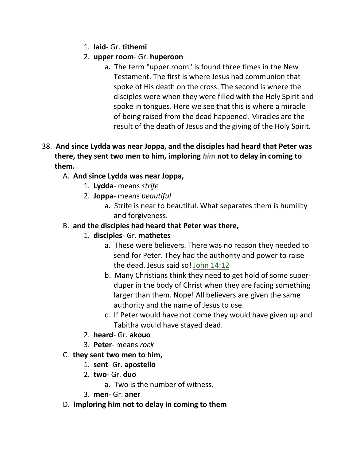- 1. **laid** Gr. **tithemi**
- 2. **upper room** Gr. **huperoon**
	- a. The term "upper room" is found three times in the New Testament. The first is where Jesus had communion that spoke of His death on the cross. The second is where the disciples were when they were filled with the Holy Spirit and spoke in tongues. Here we see that this is where a miracle of being raised from the dead happened. Miracles are the result of the death of Jesus and the giving of the Holy Spirit.
- 38. **And since Lydda was near Joppa, and the disciples had heard that Peter was there, they sent two men to him, imploring** *him* **not to delay in coming to them.**

# A. **And since Lydda was near Joppa,**

- 1. **Lydda** means *strife*
- 2. **Joppa** means *beautiful*
	- a. Strife is near to beautiful. What separates them is humility and forgiveness.
- B. **and the disciples had heard that Peter was there,**
	- 1. **disciples** Gr. **mathetes**
		- a. These were believers. There was no reason they needed to send for Peter. They had the authority and power to raise the dead. Jesus said so! John 14:12
		- b. Many Christians think they need to get hold of some super duper in the body of Christ when they are facing something larger than them. Nope! All believers are given the same authority and the name of Jesus to use.
		- c. If Peter would have not come they would have given up and Tabitha would have stayed dead.
	- 2. **heard** Gr. **akouo**
	- 3. **Peter** means *rock*
- C. **they sent two men to him,**
	- 1. **sent** Gr. **apostello**
	- 2. **two** Gr. **duo**
		- a. Two is the number of witness.
	- 3. **men** Gr. **aner**
- D. **imploring him not to delay in coming to them**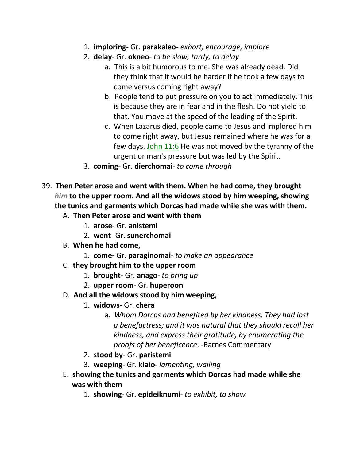- 1. **imploring** Gr. **parakaleo** *exhort, encourage, implore*
- 2. **delay** Gr. **okneo** *to be slow, tardy, to delay*
	- a. This is a bit humorous to me. She was already dead. Did they think that it would be harder if he took a few days to come versus coming right away?
	- b. People tend to put pressure on you to act immediately. This is because they are in fear and in the flesh. Do not yield to that. You move at the speed of the leading of the Spirit.
	- c. When Lazarus died, people came to Jesus and implored him to come right away, but Jesus remained where he was for a few days. John 11:6 He was not moved by the tyranny of the urgent or man's pressure but was led by the Spirit.
- 3. **coming** Gr. **dierchomai** *to come through*
- 39. **Then Peter arose and went with them. When he had come, they brought**  *him* **to the upper room. And all the widows stood by him weeping, showing the tunics and garments which Dorcas had made while she was with them.** 
	- A. **Then Peter arose and went with them**
		- 1. **arose** Gr. **anistemi**
		- 2. **went** Gr. **sunerchomai**
	- B. **When he had come,**
		- 1. **come-** Gr. **paraginomai** *to make an appearance*
	- C. **they brought him to the upper room**
		- 1. **brought** Gr. **anago** *to bring up*
		- 2. **upper room** Gr. **huperoon**
	- D. **And all the widows stood by him weeping,**
		- 1. **widows** Gr. **chera**
			- a. *Whom Dorcas had benefited by her kindness. They had lost a benefactress; and it was natural that they should recall her kindness, and express their gratitude, by enumerating the proofs of her beneficence*. -Barnes Commentary
		- 2. **stood by** Gr. **paristemi**
		- 3. **weeping** Gr. **klaio** *lamenting, wailing*
	- E. **showing the tunics and garments which Dorcas had made while she was with them**
		- 1. **showing** Gr. **epideiknumi** *to exhibit, to show*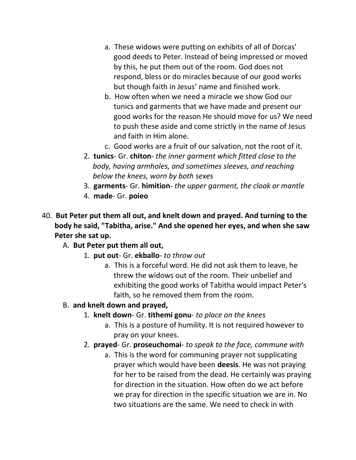- a. These widows were putting on exhibits of all of Dorcas' good deeds to Peter. Instead of being impressed or moved by this, he put them out of the room. God does not respond, bless or do miracles because of our good works but though faith in Jesus' name and finished work.
- b. How often when we need a miracle we show God our tunics and garments that we have made and present our good works for the reason He should move for us? We need to push these aside and come strictly in the name of Jesus and faith in Him alone.
- c. Good works are a fruit of our salvation, not the root of it.
- 2. **tunics** Gr. **chiton** *the inner garment which fitted close to the body, having armholes, and sometimes sleeves, and reaching below the knees, worn by both sexes*
- 3. **garments** Gr. **himition** *the upper garment, the cloak or mantle*
- 4. **made** Gr. **poieo**
- 40. **But Peter put them all out, and knelt down and prayed. And turning to the body he said, "Tabitha, arise." And she opened her eyes, and when she saw Peter she sat up.** 
	- A. **But Peter put them all out,**
		- 1. **put out** Gr. **ekballo** *to throw out*
			- a. This is a forceful word. He did not ask them to leave, he threw the widows out of the room. Their unbelief and exhibiting the good works of Tabitha would impact Peter's faith, so he removed them from the room.
	- B. **and knelt down and prayed,**
		- 1. **knelt down** Gr. **tithemi gonu** *to place on the knees*
			- a. This is a posture of humility. It is not required however to pray on your knees.
		- 2. **prayed** Gr. **proseuchomai** *to speak to the face, commune with*
			- a. This is the word for communing prayer not supplicating prayer which would have been **deesis**. He was not praying for her to be raised from the dead. He certainly was praying for direction in the situation. How often do we act before we pray for direction in the specific situation we are in. No two situations are the same. We need to check in with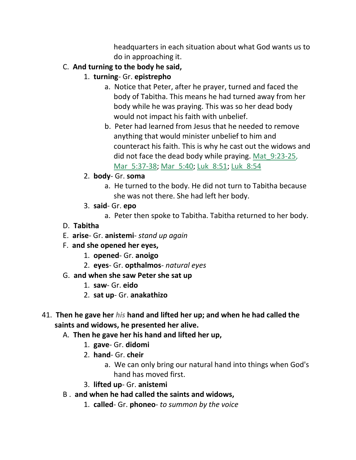headquarters in each situation about what God wants us to do in approaching it.

- C. **And turning to the body he said,**
	- 1. **turning** Gr. **epistrepho**
		- a. Notice that Peter, after he prayer, turned and faced the body of Tabitha. This means he had turned away from her body while he was praying. This was so her dead body would not impact his faith with unbelief.
		- b. Peter had learned from Jesus that he needed to remove anything that would minister unbelief to him and counteract his faith. This is why he cast out the widows and did not face the dead body while praying. Mat\_9:23-25, Mar 5:37-38; Mar 5:40; Luk 8:51; Luk 8:54
	- 2. **body** Gr. **soma**
		- a. He turned to the body. He did not turn to Tabitha because she was not there. She had left her body.
	- 3. **said** Gr. **epo**
		- a. Peter then spoke to Tabitha. Tabitha returned to her body.
- D. **Tabitha**
- E. **arise** Gr. **anistemi** *stand up again*
- F. **and she opened her eyes,**
	- 1. **opened** Gr. **anoigo**
	- 2. **eyes** Gr. **opthalmos** *natural eyes*
- G. **and when she saw Peter she sat up**
	- 1. **saw** Gr. **eido**
	- 2. **sat up** Gr. **anakathizo**
- 41. **Then he gave her** *his* **hand and lifted her up; and when he had called the saints and widows, he presented her alive.** 
	- A. **Then he gave her his hand and lifted her up,**
		- 1. **gave** Gr. **didomi**
		- 2. **hand** Gr. **cheir**
			- a. We can only bring our natural hand into things when God's hand has moved first.
		- 3. **lifted up** Gr. **anistemi**
	- B . **and when he had called the saints and widows,**
		- 1. **called** Gr. **phoneo** *to summon by the voice*